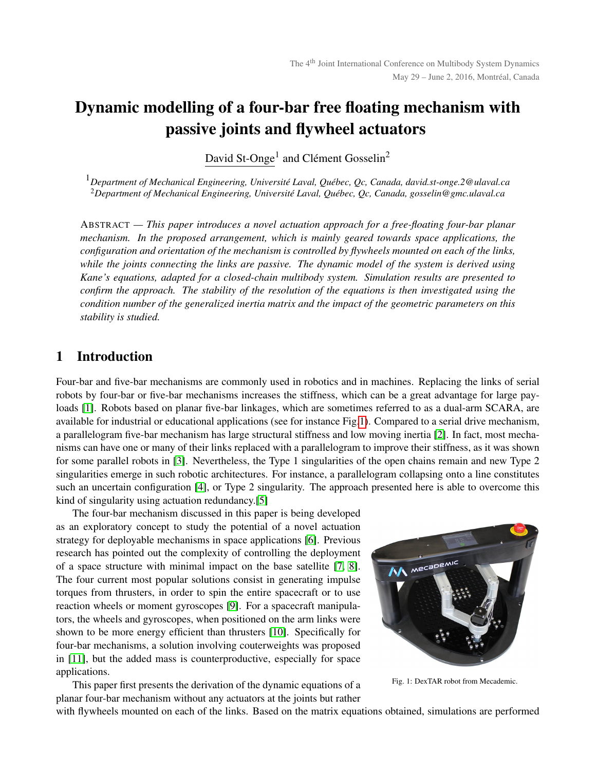# Dynamic modelling of a four-bar free floating mechanism with passive joints and flywheel actuators

David St-Onge<sup>1</sup> and Clément Gosselin<sup>2</sup>

<sup>1</sup>Department of Mechanical Engineering, Université Laval, Québec, Qc, Canada, david.st-onge.2@ulaval.ca <sup>2</sup>Department of Mechanical Engineering, Université Laval, Québec, Qc, Canada, gosselin@gmc.ulaval.ca

ABSTRACT *— This paper introduces a novel actuation approach for a free-floating four-bar planar mechanism. In the proposed arrangement, which is mainly geared towards space applications, the configuration and orientation of the mechanism is controlled by flywheels mounted on each of the links, while the joints connecting the links are passive. The dynamic model of the system is derived using Kane's equations, adapted for a closed-chain multibody system. Simulation results are presented to confirm the approach. The stability of the resolution of the equations is then investigated using the condition number of the generalized inertia matrix and the impact of the geometric parameters on this stability is studied.*

# 1 Introduction

Four-bar and five-bar mechanisms are commonly used in robotics and in machines. Replacing the links of serial robots by four-bar or five-bar mechanisms increases the stiffness, which can be a great advantage for large payloads [\[1\]](#page-6-0). Robots based on planar five-bar linkages, which are sometimes referred to as a dual-arm SCARA, are available for industrial or educational applications (see for instance Fig[.1\)](#page-0-0). Compared to a serial drive mechanism, a parallelogram five-bar mechanism has large structural stiffness and low moving inertia [\[2\]](#page-7-0). In fact, most mechanisms can have one or many of their links replaced with a parallelogram to improve their stiffness, as it was shown for some parallel robots in [\[3\]](#page-7-1). Nevertheless, the Type 1 singularities of the open chains remain and new Type 2 singularities emerge in such robotic architectures. For instance, a parallelogram collapsing onto a line constitutes such an uncertain configuration [\[4\]](#page-7-2), or Type 2 singularity. The approach presented here is able to overcome this kind of singularity using actuation redundancy.[\[5\]](#page-7-3)

The four-bar mechanism discussed in this paper is being developed as an exploratory concept to study the potential of a novel actuation strategy for deployable mechanisms in space applications [\[6\]](#page-7-4). Previous research has pointed out the complexity of controlling the deployment of a space structure with minimal impact on the base satellite [\[7,](#page-7-5) [8\]](#page-7-6). The four current most popular solutions consist in generating impulse torques from thrusters, in order to spin the entire spacecraft or to use reaction wheels or moment gyroscopes [\[9\]](#page-7-7). For a spacecraft manipulators, the wheels and gyroscopes, when positioned on the arm links were shown to be more energy efficient than thrusters [\[10\]](#page-7-8). Specifically for four-bar mechanisms, a solution involving couterweights was proposed in [\[11\]](#page-7-9), but the added mass is counterproductive, especially for space applications.

This paper first presents the derivation of the dynamic equations of a planar four-bar mechanism without any actuators at the joints but rather

<span id="page-0-0"></span>

Fig. 1: DexTAR robot from Mecademic.

with flywheels mounted on each of the links. Based on the matrix equations obtained, simulations are performed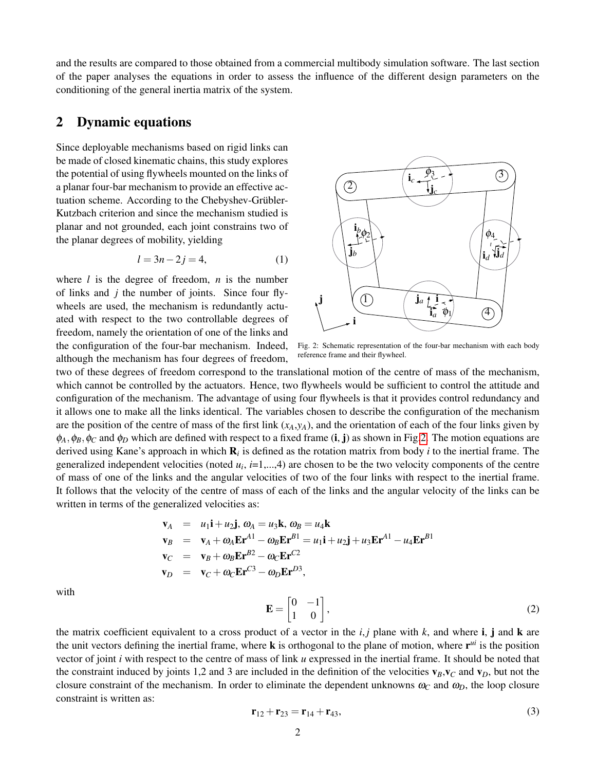and the results are compared to those obtained from a commercial multibody simulation software. The last section of the paper analyses the equations in order to assess the influence of the different design parameters on the conditioning of the general inertia matrix of the system.

### 2 Dynamic equations

Since deployable mechanisms based on rigid links can be made of closed kinematic chains, this study explores the potential of using flywheels mounted on the links of a planar four-bar mechanism to provide an effective actuation scheme. According to the Chebyshev-Grübler-Kutzbach criterion and since the mechanism studied is planar and not grounded, each joint constrains two of the planar degrees of mobility, yielding

<span id="page-1-1"></span>
$$
l = 3n - 2j = 4,\tag{1}
$$

where *l* is the degree of freedom, *n* is the number of links and *j* the number of joints. Since four flywheels are used, the mechanism is redundantly actuated with respect to the two controllable degrees of freedom, namely the orientation of one of the links and the configuration of the four-bar mechanism. Indeed, although the mechanism has four degrees of freedom,

<span id="page-1-0"></span>

Fig. 2: Schematic representation of the four-bar mechanism with each body reference frame and their flywheel.

two of these degrees of freedom correspond to the translational motion of the centre of mass of the mechanism, which cannot be controlled by the actuators. Hence, two flywheels would be sufficient to control the attitude and configuration of the mechanism. The advantage of using four flywheels is that it provides control redundancy and it allows one to make all the links identical. The variables chosen to describe the configuration of the mechanism are the position of the centre of mass of the first link  $(x_A, y_A)$ , and the orientation of each of the four links given by  $\phi_A, \phi_B, \phi_C$  and  $\phi_D$  which are defined with respect to a fixed frame (i, j) as shown in Fig[.2.](#page-1-0) The motion equations are derived using Kane's approach in which R*<sup>i</sup>* is defined as the rotation matrix from body *i* to the inertial frame. The generalized independent velocities (noted  $u_i$ ,  $i=1,...,4$ ) are chosen to be the two velocity components of the centre of mass of one of the links and the angular velocities of two of the four links with respect to the inertial frame. It follows that the velocity of the centre of mass of each of the links and the angular velocity of the links can be written in terms of the generalized velocities as:

$$
\mathbf{v}_A = u_1 \mathbf{i} + u_2 \mathbf{j}, \ \omega_A = u_3 \mathbf{k}, \ \omega_B = u_4 \mathbf{k}
$$
\n
$$
\mathbf{v}_B = \mathbf{v}_A + \omega_A \mathbf{E} \mathbf{r}^{A1} - \omega_B \mathbf{E} \mathbf{r}^{B1} = u_1 \mathbf{i} + u_2 \mathbf{j} + u_3 \mathbf{E} \mathbf{r}^{A1} - u_4 \mathbf{E} \mathbf{r}^{B1}
$$
\n
$$
\mathbf{v}_C = \mathbf{v}_B + \omega_B \mathbf{E} \mathbf{r}^{B2} - \omega_C \mathbf{E} \mathbf{r}^{C2}
$$
\n
$$
\mathbf{v}_D = \mathbf{v}_C + \omega_C \mathbf{E} \mathbf{r}^{C3} - \omega_D \mathbf{E} \mathbf{r}^{D3},
$$

with

$$
\mathbf{E} = \begin{bmatrix} 0 & -1 \\ 1 & 0 \end{bmatrix},\tag{2}
$$

the matrix coefficient equivalent to a cross product of a vector in the  $i, j$  plane with  $k$ , and where  $i, j$  and  $k$  are the unit vectors defining the inertial frame, where  $\bf{k}$  is orthogonal to the plane of motion, where  $\bf{r}^{\textit{ui}}$  is the position vector of joint *i* with respect to the centre of mass of link *u* expressed in the inertial frame. It should be noted that the constraint induced by joints 1,2 and 3 are included in the definition of the velocities  $v_B$ , $v_C$  and  $v_D$ , but not the closure constraint of the mechanism. In order to eliminate the dependent unknowns  $\omega_C$  and  $\omega_D$ , the loop closure constraint is written as:

$$
\mathbf{r}_{12} + \mathbf{r}_{23} = \mathbf{r}_{14} + \mathbf{r}_{43},\tag{3}
$$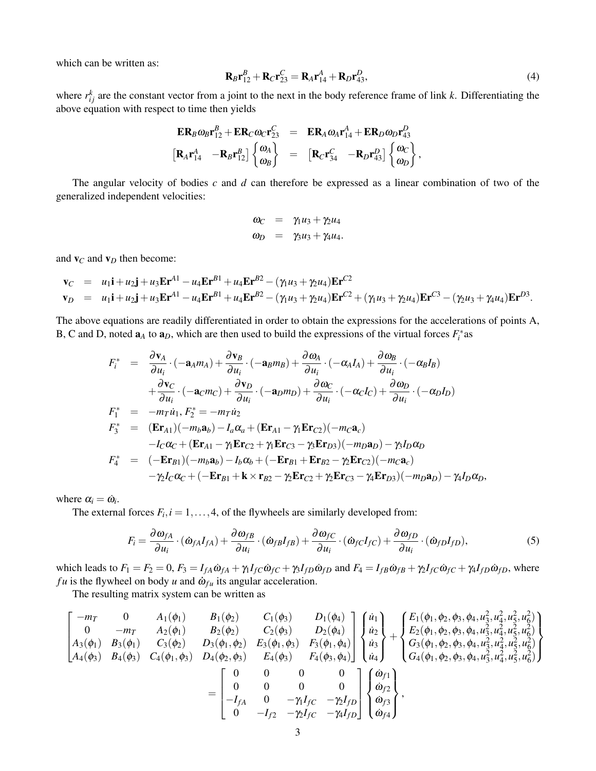which can be written as:

$$
\mathbf{R}_{B}\mathbf{r}_{12}^{B} + \mathbf{R}_{C}\mathbf{r}_{23}^{C} = \mathbf{R}_{A}\mathbf{r}_{14}^{A} + \mathbf{R}_{D}\mathbf{r}_{43}^{D},
$$
\n(4)

,

where  $r_{ij}^k$  are the constant vector from a joint to the next in the body reference frame of link k. Differentiating the above equation with respect to time then yields

$$
\begin{array}{rcl}\n\mathbf{ER}_B \omega_B \mathbf{r}_{12}^B + \mathbf{ER}_C \omega_C \mathbf{r}_{23}^C &=& \mathbf{ER}_A \omega_A \mathbf{r}_{14}^A + \mathbf{ER}_D \omega_D \mathbf{r}_{43}^D \\
\left[\mathbf{R}_A \mathbf{r}_{14}^A \quad - \mathbf{R}_B \mathbf{r}_{12}^B\right] \begin{Bmatrix} \omega_A \\ \omega_B \end{Bmatrix} &=& \left[\mathbf{R}_C \mathbf{r}_{34}^C \quad - \mathbf{R}_D \mathbf{r}_{43}^D\right] \begin{Bmatrix} \omega_C \\ \omega_D \end{Bmatrix}\n\end{array}
$$

The angular velocity of bodies *c* and *d* can therefore be expressed as a linear combination of two of the generalized independent velocities:

$$
\omega_C = \gamma_1 u_3 + \gamma_2 u_4
$$
  

$$
\omega_D = \gamma_3 u_3 + \gamma_4 u_4.
$$

and  $\mathbf{v}_C$  and  $\mathbf{v}_D$  then become:

$$
\mathbf{v}_C = u_1 \mathbf{i} + u_2 \mathbf{j} + u_3 \mathbf{E} \mathbf{r}^{A1} - u_4 \mathbf{E} \mathbf{r}^{B1} + u_4 \mathbf{E} \mathbf{r}^{B2} - (\gamma_1 u_3 + \gamma_2 u_4) \mathbf{E} \mathbf{r}^{C2}
$$
  
\n
$$
\mathbf{v}_D = u_1 \mathbf{i} + u_2 \mathbf{j} + u_3 \mathbf{E} \mathbf{r}^{A1} - u_4 \mathbf{E} \mathbf{r}^{B1} + u_4 \mathbf{E} \mathbf{r}^{B2} - (\gamma_1 u_3 + \gamma_2 u_4) \mathbf{E} \mathbf{r}^{C2} + (\gamma_1 u_3 + \gamma_2 u_4) \mathbf{E} \mathbf{r}^{C3} - (\gamma_2 u_3 + \gamma_4 u_4) \mathbf{E} \mathbf{r}^{D3}.
$$

The above equations are readily differentiated in order to obtain the expressions for the accelerations of points A, B, C and D, noted  $\mathbf{a}_A$  to  $\mathbf{a}_D$ , which are then used to build the expressions of the virtual forces  $F_i^*$  as

$$
F_i^* = \frac{\partial \mathbf{v}_A}{\partial u_i} \cdot (-\mathbf{a}_A m_A) + \frac{\partial \mathbf{v}_B}{\partial u_i} \cdot (-\mathbf{a}_B m_B) + \frac{\partial \omega_A}{\partial u_i} \cdot (-\alpha_A I_A) + \frac{\partial \omega_B}{\partial u_i} \cdot (-\alpha_B I_B)
$$
  
+  $\frac{\partial \mathbf{v}_C}{\partial u_i} \cdot (-\mathbf{a}_C m_C) + \frac{\partial \mathbf{v}_D}{\partial u_i} \cdot (-\mathbf{a}_D m_D) + \frac{\partial \omega_C}{\partial u_i} \cdot (-\alpha_C I_C) + \frac{\partial \omega_D}{\partial u_i} \cdot (-\alpha_D I_D)$   

$$
F_1^* = -m_T \dot{u}_1, F_2^* = -m_T \dot{u}_2
$$
  

$$
F_3^* = (\mathbf{E} \mathbf{r}_{A1})(-m_b \mathbf{a}_b) - I_a \alpha_a + (\mathbf{E} \mathbf{r}_{A1} - \gamma_1 \mathbf{E} \mathbf{r}_{C2})(-m_C \mathbf{a}_c)
$$
  

$$
-I_C \alpha_C + (\mathbf{E} \mathbf{r}_{A1} - \gamma_1 \mathbf{E} \mathbf{r}_{C2} + \gamma_1 \mathbf{E} \mathbf{r}_{C3} - \gamma_2 \mathbf{E} \mathbf{r}_{D3})(-m_D \mathbf{a}_D) - \gamma_3 I_D \alpha_D
$$
  

$$
F_4^* = (-\mathbf{E} \mathbf{r}_{B1})(-m_b \mathbf{a}_b) - I_b \alpha_b + (-\mathbf{E} \mathbf{r}_{B1} + \mathbf{E} \mathbf{r}_{B2} - \gamma_2 \mathbf{E} \mathbf{r}_{C2})(-m_C \mathbf{a}_c)
$$
  

$$
-\gamma_2 I_C \alpha_C + (-\mathbf{E} \mathbf{r}_{B1} + \mathbf{k} \times \mathbf{r}_{B2} - \gamma_2 \mathbf{E} \mathbf{r}_{C2} + \gamma_2 \mathbf{E} \mathbf{r}_{C3} - \gamma_4 \mathbf{E} \mathbf{r}_{D3})(-m_D \mathbf{a}_D) - \gamma_4 I_D \alpha_D,
$$

where  $\alpha_i = \dot{\omega}_i$ .

The external forces  $F_i$ ,  $i = 1, ..., 4$ , of the flywheels are similarly developed from:

$$
F_i = \frac{\partial \omega_{fA}}{\partial u_i} \cdot (\dot{\omega}_{fA} I_{fA}) + \frac{\partial \omega_{fB}}{\partial u_i} \cdot (\dot{\omega}_{fB} I_{fB}) + \frac{\partial \omega_{fC}}{\partial u_i} \cdot (\dot{\omega}_{fC} I_{fC}) + \frac{\partial \omega_{fD}}{\partial u_i} \cdot (\dot{\omega}_{fD} I_{fD}),
$$
(5)

which leads to  $F_1 = F_2 = 0$ ,  $F_3 = I_{fA}\dot{\omega}_{fA} + \gamma_1 I_{fC}\dot{\omega}_{fC} + \gamma_2 I_{fD}\dot{\omega}_{fD}$  and  $F_4 = I_{fB}\dot{\omega}_{fB} + \gamma_2 I_{fC}\dot{\omega}_{fC} + \gamma_4 I_{fD}\dot{\omega}_{fD}$ , where *fu* is the flywheel on body *u* and  $\dot{\omega}_{fu}$  its angular acceleration.

The resulting matrix system can be written as

$$
\begin{bmatrix}\n-m_T & 0 & A_1(\phi_1) & B_1(\phi_2) & C_1(\phi_3) & D_1(\phi_4) \\
0 & -m_T & A_2(\phi_1) & B_2(\phi_2) & C_2(\phi_3) & D_2(\phi_4) \\
A_3(\phi_1) & B_3(\phi_1) & C_3(\phi_2) & D_3(\phi_1, \phi_2) & E_3(\phi_1, \phi_3) & F_3(\phi_1, \phi_4) \\
A_4(\phi_3) & B_4(\phi_3) & C_4(\phi_1, \phi_3) & D_4(\phi_2, \phi_3) & E_4(\phi_3) & F_4(\phi_3) & F_4(\phi_3, \phi_4)\n\end{bmatrix}\n\begin{bmatrix}\n\dot{u}_1 \\
\dot{u}_2 \\
\dot{u}_2 \\
\dot{u}_3 \\
\dot{u}_4\n\end{bmatrix} + \n\begin{Bmatrix}\nE_1(\phi_1, \phi_2, \phi_3, \phi_4, u_3^2, u_4^2, u_5^2, u_6^2) \\
E_2(\phi_1, \phi_2, \phi_3, \phi_4, u_3^2, u_4^2, u_5^2, u_6^2) \\
G_3(\phi_1, \phi_2, \phi_3, \phi_4, u_3^2, u_4^2, u_5^2, u_6^2) \\
G_4(\phi_1, \phi_2, \phi_3, \phi_4, u_3^2, u_4^2, u_5^2, u_6^2)\n\end{bmatrix}
$$
\n
$$
= \n\begin{bmatrix}\n0 & 0 & 0 & 0 \\
0 & 0 & 0 & 0 \\
-I_{fA} & 0 & -\gamma_1 I_{fC} & -\gamma_2 I_{fD} \\
0 & -I_{f2} & -\gamma_2 I_{fC} & -\gamma_4 I_{fD}\n\end{bmatrix}\n\begin{bmatrix}\n\dot{w}_1 \\
\dot{w}_2 \\
\dot{u}_3 \\
\dot{u}_4\n\end{bmatrix} + \n\begin{bmatrix}\nE_1(\phi_1, \phi_2, \phi_3, \phi_4, u_3^2, u_4^2, u_5^2, u_6^2) \\
G_3(\phi_1, \phi_2, \phi_3, \phi_4, u_3^2, u_4^2, u_5^2, u_6^2) \\
G_
$$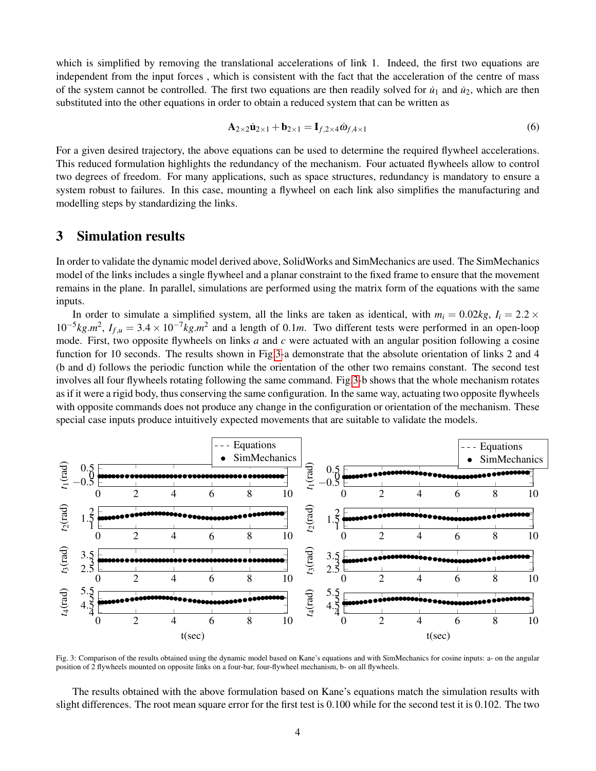which is simplified by removing the translational accelerations of link 1. Indeed, the first two equations are independent from the input forces , which is consistent with the fact that the acceleration of the centre of mass of the system cannot be controlled. The first two equations are then readily solved for  $\dot{u}_1$  and  $\dot{u}_2$ , which are then substituted into the other equations in order to obtain a reduced system that can be written as

<span id="page-3-1"></span>
$$
\mathbf{A}_{2\times 2}\dot{\mathbf{u}}_{2\times 1} + \mathbf{b}_{2\times 1} = \mathbf{I}_{f,2\times 4}\dot{\boldsymbol{\omega}}_{f,4\times 1} \tag{6}
$$

For a given desired trajectory, the above equations can be used to determine the required flywheel accelerations. This reduced formulation highlights the redundancy of the mechanism. Four actuated flywheels allow to control two degrees of freedom. For many applications, such as space structures, redundancy is mandatory to ensure a system robust to failures. In this case, mounting a flywheel on each link also simplifies the manufacturing and modelling steps by standardizing the links.

# <span id="page-3-2"></span>3 Simulation results

In order to validate the dynamic model derived above, SolidWorks and SimMechanics are used. The SimMechanics model of the links includes a single flywheel and a planar constraint to the fixed frame to ensure that the movement remains in the plane. In parallel, simulations are performed using the matrix form of the equations with the same inputs.

In order to simulate a simplified system, all the links are taken as identical, with  $m_i = 0.02kg$ ,  $I_i = 2.2 \times$  $10^{-5}$ *kg*. $m^2$ ,  $I_{f,\mu} = 3.4 \times 10^{-7}$ *kg.m*<sup>2</sup> and a length of 0.1*m*. Two different tests were performed in an open-loop mode. First, two opposite flywheels on links *a* and *c* were actuated with an angular position following a cosine function for 10 seconds. The results shown in Fig[.3-](#page-3-0)a demonstrate that the absolute orientation of links 2 and 4 (b and d) follows the periodic function while the orientation of the other two remains constant. The second test involves all four flywheels rotating following the same command. Fig[.3-](#page-3-0)b shows that the whole mechanism rotates as if it were a rigid body, thus conserving the same configuration. In the same way, actuating two opposite flywheels with opposite commands does not produce any change in the configuration or orientation of the mechanism. These special case inputs produce intuitively expected movements that are suitable to validate the models.

<span id="page-3-0"></span>

Fig. 3: Comparison of the results obtained using the dynamic model based on Kane's equations and with SimMechanics for cosine inputs: a- on the angular position of 2 flywheels mounted on opposite links on a four-bar, four-flywheel mechanism, b- on all flywheels.

The results obtained with the above formulation based on Kane's equations match the simulation results with slight differences. The root mean square error for the first test is 0.100 while for the second test it is 0.102. The two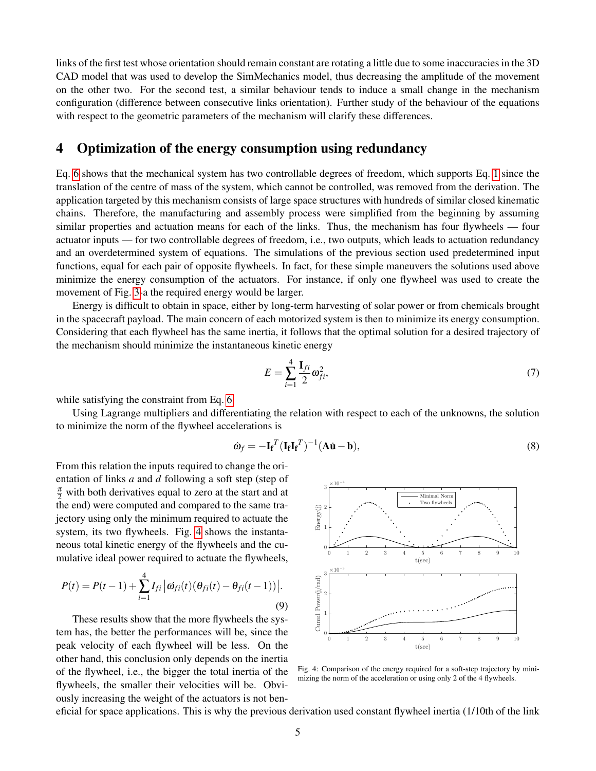links of the first test whose orientation should remain constant are rotating a little due to some inaccuracies in the 3D CAD model that was used to develop the SimMechanics model, thus decreasing the amplitude of the movement on the other two. For the second test, a similar behaviour tends to induce a small change in the mechanism configuration (difference between consecutive links orientation). Further study of the behaviour of the equations with respect to the geometric parameters of the mechanism will clarify these differences.

#### 4 Optimization of the energy consumption using redundancy

Eq. [6](#page-3-1) shows that the mechanical system has two controllable degrees of freedom, which supports Eq. [1](#page-1-1) since the translation of the centre of mass of the system, which cannot be controlled, was removed from the derivation. The application targeted by this mechanism consists of large space structures with hundreds of similar closed kinematic chains. Therefore, the manufacturing and assembly process were simplified from the beginning by assuming similar properties and actuation means for each of the links. Thus, the mechanism has four flywheels — four actuator inputs — for two controllable degrees of freedom, i.e., two outputs, which leads to actuation redundancy and an overdetermined system of equations. The simulations of the previous section used predetermined input functions, equal for each pair of opposite flywheels. In fact, for these simple maneuvers the solutions used above minimize the energy consumption of the actuators. For instance, if only one flywheel was used to create the movement of Fig. [3-](#page-3-0)a the required energy would be larger.

Energy is difficult to obtain in space, either by long-term harvesting of solar power or from chemicals brought in the spacecraft payload. The main concern of each motorized system is then to minimize its energy consumption. Considering that each flywheel has the same inertia, it follows that the optimal solution for a desired trajectory of the mechanism should minimize the instantaneous kinetic energy

$$
E = \sum_{i=1}^{4} \frac{\mathbf{I}_{fi}}{2} \omega_{fi}^{2},\tag{7}
$$

while satisfying the constraint from Eq. [6.](#page-3-1)

Using Lagrange multipliers and differentiating the relation with respect to each of the unknowns, the solution to minimize the norm of the flywheel accelerations is

$$
\dot{\omega}_f = -\mathbf{I_f}^T (\mathbf{I_f} \mathbf{I_f}^T)^{-1} (\mathbf{A} \dot{\mathbf{u}} - \mathbf{b}),\tag{8}
$$

From this relation the inputs required to change the orientation of links *a* and *d* following a soft step (step of  $\frac{\pi}{2}$  with both derivatives equal to zero at the start and at the end) were computed and compared to the same trajectory using only the minimum required to actuate the system, its two flywheels. Fig. [4](#page-4-0) shows the instantaneous total kinetic energy of the flywheels and the cumulative ideal power required to actuate the flywheels,

$$
P(t) = P(t-1) + \sum_{i=1}^{4} I_{fi} |\omega_{fi}(t) (\theta_{fi}(t) - \theta_{fi}(t-1))|.
$$
\n(9)

These results show that the more flywheels the system has, the better the performances will be, since the peak velocity of each flywheel will be less. On the other hand, this conclusion only depends on the inertia of the flywheel, i.e., the bigger the total inertia of the flywheels, the smaller their velocities will be. Obviously increasing the weight of the actuators is not ben-

<span id="page-4-0"></span>

Fig. 4: Comparison of the energy required for a soft-step trajectory by minimizing the norm of the acceleration or using only 2 of the 4 flywheels.

eficial for space applications. This is why the previous derivation used constant flywheel inertia (1/10th of the link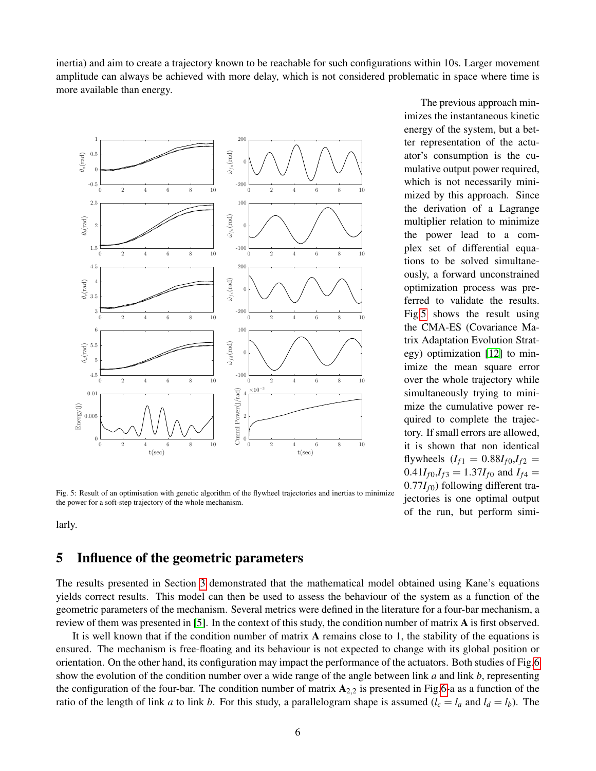inertia) and aim to create a trajectory known to be reachable for such configurations within 10s. Larger movement amplitude can always be achieved with more delay, which is not considered problematic in space where time is more available than energy.

<span id="page-5-0"></span>

Fig. 5: Result of an optimisation with genetic algorithm of the flywheel trajectories and inertias to minimize the power for a soft-step trajectory of the whole mechanism.

larly.

# 5 Influence of the geometric parameters

The results presented in Section [3](#page-3-2) demonstrated that the mathematical model obtained using Kane's equations yields correct results. This model can then be used to assess the behaviour of the system as a function of the geometric parameters of the mechanism. Several metrics were defined in the literature for a four-bar mechanism, a review of them was presented in [\[5\]](#page-7-3). In the context of this study, the condition number of matrix A is first observed.

It is well known that if the condition number of matrix A remains close to 1, the stability of the equations is ensured. The mechanism is free-floating and its behaviour is not expected to change with its global position or orientation. On the other hand, its configuration may impact the performance of the actuators. Both studies of Fig[.6](#page-6-1) show the evolution of the condition number over a wide range of the angle between link *a* and link *b*, representing the configuration of the four-bar. The condition number of matrix  $A_{2,2}$  is presented in Fig[.6-](#page-6-1)a as a function of the ratio of the length of link *a* to link *b*. For this study, a parallelogram shape is assumed  $(l_c = l_a \text{ and } l_d = l_b)$ . The

The previous approach minimizes the instantaneous kinetic energy of the system, but a better representation of the actuator's consumption is the cumulative output power required, which is not necessarily minimized by this approach. Since the derivation of a Lagrange multiplier relation to minimize the power lead to a complex set of differential equations to be solved simultaneously, a forward unconstrained optimization process was preferred to validate the results. Fig[.5](#page-5-0) shows the result using the CMA-ES (Covariance Matrix Adaptation Evolution Strategy) optimization [\[12\]](#page-7-10) to minimize the mean square error over the whole trajectory while simultaneously trying to minimize the cumulative power required to complete the trajectory. If small errors are allowed, it is shown that non identical flywheels  $(I_{f1} = 0.88I_{f0}$ , $I_{f2} =$  $0.41I_{f0}$ , $I_{f3} = 1.37I_{f0}$  and  $I_{f4} =$  $0.77I_{f0}$ ) following different trajectories is one optimal output of the run, but perform simi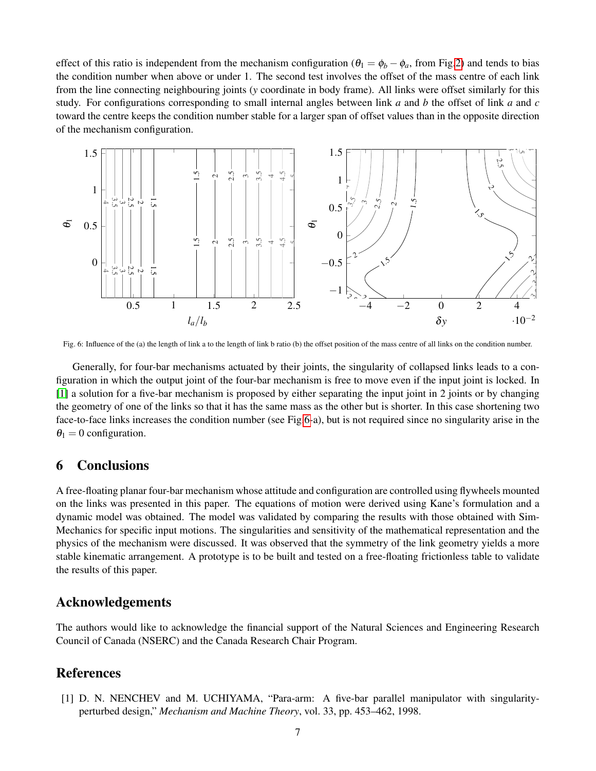effect of this ratio is independent from the mechanism configuration ( $\theta_1 = \phi_b - \phi_a$ , from Fig[.2\)](#page-1-0) and tends to bias the condition number when above or under 1. The second test involves the offset of the mass centre of each link from the line connecting neighbouring joints (*y* coordinate in body frame). All links were offset similarly for this study. For configurations corresponding to small internal angles between link *a* and *b* the offset of link *a* and *c* toward the centre keeps the condition number stable for a larger span of offset values than in the opposite direction of the mechanism configuration.

<span id="page-6-1"></span>

Fig. 6: Influence of the (a) the length of link a to the length of link b ratio (b) the offset position of the mass centre of all links on the condition number.

Generally, for four-bar mechanisms actuated by their joints, the singularity of collapsed links leads to a configuration in which the output joint of the four-bar mechanism is free to move even if the input joint is locked. In [\[1\]](#page-6-0) a solution for a five-bar mechanism is proposed by either separating the input joint in 2 joints or by changing the geometry of one of the links so that it has the same mass as the other but is shorter. In this case shortening two face-to-face links increases the condition number (see Fig[.6-](#page-6-1)a), but is not required since no singularity arise in the  $\theta_1 = 0$  configuration.

## 6 Conclusions

A free-floating planar four-bar mechanism whose attitude and configuration are controlled using flywheels mounted on the links was presented in this paper. The equations of motion were derived using Kane's formulation and a dynamic model was obtained. The model was validated by comparing the results with those obtained with Sim-Mechanics for specific input motions. The singularities and sensitivity of the mathematical representation and the physics of the mechanism were discussed. It was observed that the symmetry of the link geometry yields a more stable kinematic arrangement. A prototype is to be built and tested on a free-floating frictionless table to validate the results of this paper.

#### Acknowledgements

The authors would like to acknowledge the financial support of the Natural Sciences and Engineering Research Council of Canada (NSERC) and the Canada Research Chair Program.

#### References

<span id="page-6-0"></span>[1] D. N. NENCHEV and M. UCHIYAMA, "Para-arm: A five-bar parallel manipulator with singularityperturbed design," *Mechanism and Machine Theory*, vol. 33, pp. 453–462, 1998.